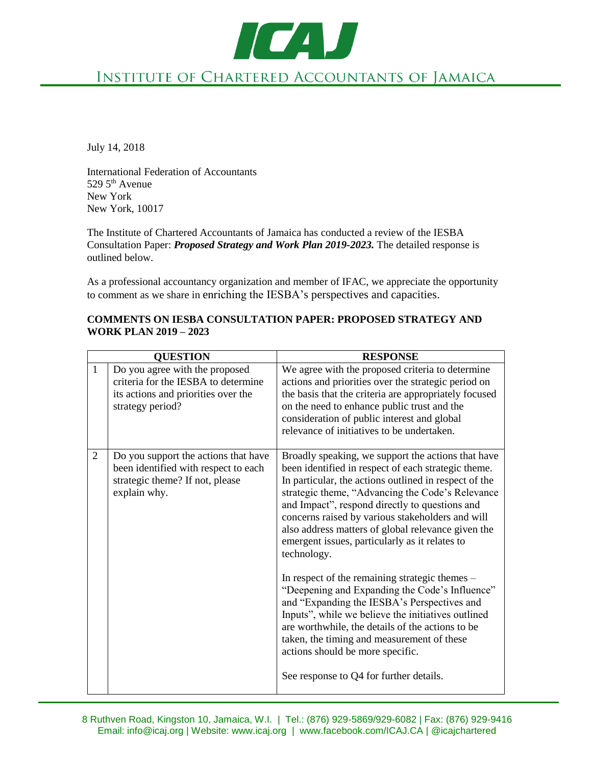TO AV INSTITUTE OF CHARTERED ACCOUNTANTS OF JAMAICA

July 14, 2018

International Federation of Accountants  $529\,5^{\text{th}}$  Avenue New York New York, 10017

The Institute of Chartered Accountants of Jamaica has conducted a review of the IESBA Consultation Paper: *Proposed Strategy and Work Plan 2019-2023.* The detailed response is outlined below.

As a professional accountancy organization and member of IFAC, we appreciate the opportunity to comment as we share in enriching the IESBA's perspectives and capacities.

#### **COMMENTS ON IESBA CONSULTATION PAPER: PROPOSED STRATEGY AND WORK PLAN 2019 – 2023**

| <b>QUESTION</b> |                                                                                                                                  | <b>RESPONSE</b>                                                                                                                                                                                                                                                                                                                                                                                                                                                                                                                                                                                                                                                                                                                                                                                                                               |
|-----------------|----------------------------------------------------------------------------------------------------------------------------------|-----------------------------------------------------------------------------------------------------------------------------------------------------------------------------------------------------------------------------------------------------------------------------------------------------------------------------------------------------------------------------------------------------------------------------------------------------------------------------------------------------------------------------------------------------------------------------------------------------------------------------------------------------------------------------------------------------------------------------------------------------------------------------------------------------------------------------------------------|
| $\mathbf{1}$    | Do you agree with the proposed<br>criteria for the IESBA to determine<br>its actions and priorities over the<br>strategy period? | We agree with the proposed criteria to determine<br>actions and priorities over the strategic period on<br>the basis that the criteria are appropriately focused<br>on the need to enhance public trust and the<br>consideration of public interest and global<br>relevance of initiatives to be undertaken.                                                                                                                                                                                                                                                                                                                                                                                                                                                                                                                                  |
| $\overline{2}$  | Do you support the actions that have<br>been identified with respect to each<br>strategic theme? If not, please<br>explain why.  | Broadly speaking, we support the actions that have<br>been identified in respect of each strategic theme.<br>In particular, the actions outlined in respect of the<br>strategic theme, "Advancing the Code's Relevance<br>and Impact", respond directly to questions and<br>concerns raised by various stakeholders and will<br>also address matters of global relevance given the<br>emergent issues, particularly as it relates to<br>technology.<br>In respect of the remaining strategic themes –<br>"Deepening and Expanding the Code's Influence"<br>and "Expanding the IESBA's Perspectives and<br>Inputs", while we believe the initiatives outlined<br>are worthwhile, the details of the actions to be<br>taken, the timing and measurement of these<br>actions should be more specific.<br>See response to Q4 for further details. |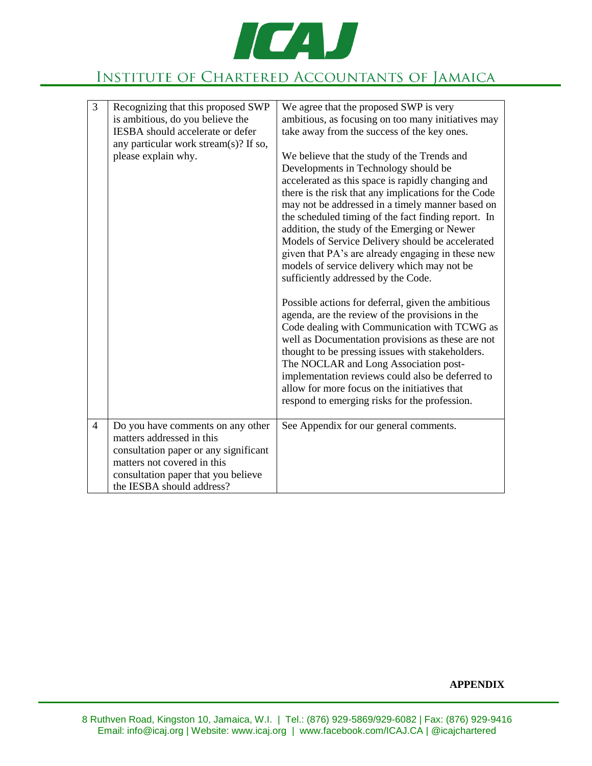

# INSTITUTE OF CHARTERED ACCOUNTANTS OF JAMAICA

| $\overline{3}$ | Recognizing that this proposed SWP<br>is ambitious, do you believe the<br>IESBA should accelerate or defer<br>any particular work stream(s)? If so,<br>please explain why.                                 | We agree that the proposed SWP is very<br>ambitious, as focusing on too many initiatives may<br>take away from the success of the key ones.<br>We believe that the study of the Trends and<br>Developments in Technology should be<br>accelerated as this space is rapidly changing and<br>there is the risk that any implications for the Code<br>may not be addressed in a timely manner based on<br>the scheduled timing of the fact finding report. In<br>addition, the study of the Emerging or Newer<br>Models of Service Delivery should be accelerated<br>given that PA's are already engaging in these new<br>models of service delivery which may not be<br>sufficiently addressed by the Code.<br>Possible actions for deferral, given the ambitious<br>agenda, are the review of the provisions in the<br>Code dealing with Communication with TCWG as<br>well as Documentation provisions as these are not<br>thought to be pressing issues with stakeholders.<br>The NOCLAR and Long Association post-<br>implementation reviews could also be deferred to<br>allow for more focus on the initiatives that<br>respond to emerging risks for the profession. |
|----------------|------------------------------------------------------------------------------------------------------------------------------------------------------------------------------------------------------------|---------------------------------------------------------------------------------------------------------------------------------------------------------------------------------------------------------------------------------------------------------------------------------------------------------------------------------------------------------------------------------------------------------------------------------------------------------------------------------------------------------------------------------------------------------------------------------------------------------------------------------------------------------------------------------------------------------------------------------------------------------------------------------------------------------------------------------------------------------------------------------------------------------------------------------------------------------------------------------------------------------------------------------------------------------------------------------------------------------------------------------------------------------------------------|
| $\overline{4}$ | Do you have comments on any other<br>matters addressed in this<br>consultation paper or any significant<br>matters not covered in this<br>consultation paper that you believe<br>the IESBA should address? | See Appendix for our general comments.                                                                                                                                                                                                                                                                                                                                                                                                                                                                                                                                                                                                                                                                                                                                                                                                                                                                                                                                                                                                                                                                                                                                    |

#### **APPENDIX**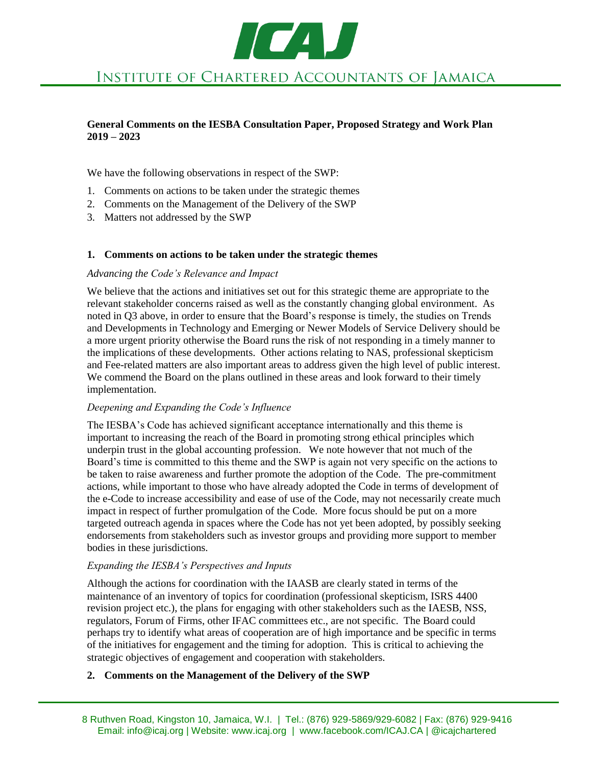

#### **General Comments on the IESBA Consultation Paper, Proposed Strategy and Work Plan 2019 – 2023**

We have the following observations in respect of the SWP:

- 1. Comments on actions to be taken under the strategic themes
- 2. Comments on the Management of the Delivery of the SWP
- 3. Matters not addressed by the SWP

#### **1. Comments on actions to be taken under the strategic themes**

### *Advancing the Code's Relevance and Impact*

We believe that the actions and initiatives set out for this strategic theme are appropriate to the relevant stakeholder concerns raised as well as the constantly changing global environment. As noted in Q3 above, in order to ensure that the Board's response is timely, the studies on Trends and Developments in Technology and Emerging or Newer Models of Service Delivery should be a more urgent priority otherwise the Board runs the risk of not responding in a timely manner to the implications of these developments. Other actions relating to NAS, professional skepticism and Fee-related matters are also important areas to address given the high level of public interest. We commend the Board on the plans outlined in these areas and look forward to their timely implementation.

#### *Deepening and Expanding the Code's Influence*

The IESBA's Code has achieved significant acceptance internationally and this theme is important to increasing the reach of the Board in promoting strong ethical principles which underpin trust in the global accounting profession. We note however that not much of the Board's time is committed to this theme and the SWP is again not very specific on the actions to be taken to raise awareness and further promote the adoption of the Code. The pre-commitment actions, while important to those who have already adopted the Code in terms of development of the e-Code to increase accessibility and ease of use of the Code, may not necessarily create much impact in respect of further promulgation of the Code. More focus should be put on a more targeted outreach agenda in spaces where the Code has not yet been adopted, by possibly seeking endorsements from stakeholders such as investor groups and providing more support to member bodies in these jurisdictions.

#### *Expanding the IESBA's Perspectives and Inputs*

Although the actions for coordination with the IAASB are clearly stated in terms of the maintenance of an inventory of topics for coordination (professional skepticism, ISRS 4400 revision project etc.), the plans for engaging with other stakeholders such as the IAESB, NSS, regulators, Forum of Firms, other IFAC committees etc., are not specific. The Board could perhaps try to identify what areas of cooperation are of high importance and be specific in terms of the initiatives for engagement and the timing for adoption. This is critical to achieving the strategic objectives of engagement and cooperation with stakeholders.

#### **2. Comments on the Management of the Delivery of the SWP**